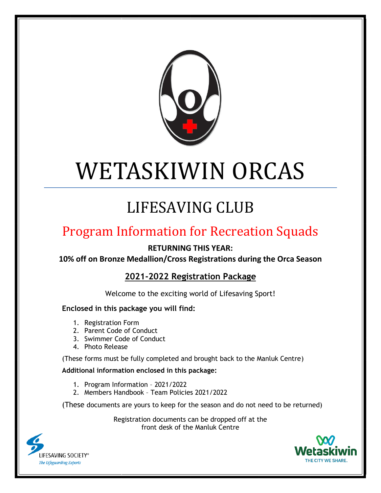

# WETASKIWIN ORCAS

# LIFESAVING CLUB

## Program Information for Recreation Squads

**RETURNING THIS YEAR:**

**10% off on Bronze Medallion/Cross Registrations during the Orca Season**

**2021-2022 Registration Package**

Welcome to the exciting world of Lifesaving Sport!

#### **Enclosed in this package you will find:**

- 1. Registration Form
- 2. Parent Code of Conduct
- 3. Swimmer Code of Conduct
- 4. Photo Release

(These forms must be fully completed and brought back to the Manluk Centre)

#### **Additional information enclosed in this package:**

- 1. Program Information 2021/2022
- 2. Members Handbook Team Policies 2021/2022

(These documents are yours to keep for the season and do not need to be returned)

Registration documents can be dropped off at the front desk of the Manluk Centre



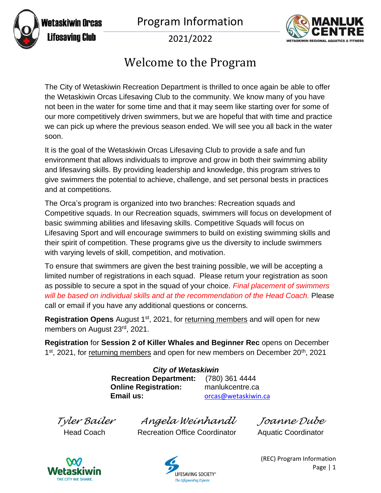Program Information



WETASKIWIN REGIONAL AQUATIC

2021/2022

### Welcome to the Program

The City of Wetaskiwin Recreation Department is thrilled to once again be able to offer the Wetaskiwin Orcas Lifesaving Club to the community. We know many of you have not been in the water for some time and that it may seem like starting over for some of our more competitively driven swimmers, but we are hopeful that with time and practice we can pick up where the previous season ended. We will see you all back in the water soon.

It is the goal of the Wetaskiwin Orcas Lifesaving Club to provide a safe and fun environment that allows individuals to improve and grow in both their swimming ability and lifesaving skills. By providing leadership and knowledge, this program strives to give swimmers the potential to achieve, challenge, and set personal bests in practices and at competitions.

The Orca's program is organized into two branches: Recreation squads and Competitive squads. In our Recreation squads, swimmers will focus on development of basic swimming abilities and lifesaving skills. Competitive Squads will focus on Lifesaving Sport and will encourage swimmers to build on existing swimming skills and their spirit of competition. These programs give us the diversity to include swimmers with varying levels of skill, competition, and motivation.

To ensure that swimmers are given the best training possible, we will be accepting a limited number of registrations in each squad. Please return your registration as soon as possible to secure a spot in the squad of your choice. *Final placement of swimmers will be based on individual skills and at the recommendation of the Head Coach.* Please call or email if you have any additional questions or concerns.

**Registration Opens** August 1<sup>st</sup>, 2021, for returning members and will open for new members on August 23rd, 2021.

**Registration** for **Session 2 of Killer Whales and Beginner Rec** opens on December 1<sup>st</sup>, 2021, for returning members and open for new members on December 20<sup>th</sup>, 2021

> *City of Wetaskiwin* **Recreation Department:** (780) 361 4444 **Online Registration:** manlukcentre.ca **Email us:** [orcas@wetaskiwin.ca](mailto:orcas@wetaskiwin.ca)

*Tyler Bailer Angela Weinhandl Joanne Dube*

Head Coach Recreation Office Coordinator Aquatic Coordinator



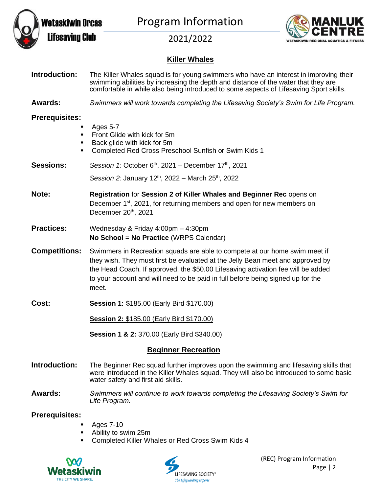

Program Information



2021/2022

#### **Killer Whales**

| Introduction:                                                       | The Killer Whales squad is for young swimmers who have an interest in improving their<br>swimming abilities by increasing the depth and distance of the water that they are<br>comfortable in while also being introduced to some aspects of Lifesaving Sport skills.                                                                        |
|---------------------------------------------------------------------|----------------------------------------------------------------------------------------------------------------------------------------------------------------------------------------------------------------------------------------------------------------------------------------------------------------------------------------------|
| Awards:                                                             | Swimmers will work towards completing the Lifesaving Society's Swim for Life Program.                                                                                                                                                                                                                                                        |
| <b>Prerequisites:</b><br>٠<br>$\blacksquare$<br>$\blacksquare$<br>٠ | Ages 5-7<br>Front Glide with kick for 5m<br>Back glide with kick for 5m<br>Completed Red Cross Preschool Sunfish or Swim Kids 1                                                                                                                                                                                                              |
| <b>Sessions:</b>                                                    | Session 1: October $6th$ , 2021 – December 17 <sup>th</sup> , 2021                                                                                                                                                                                                                                                                           |
|                                                                     | Session 2: January 12 <sup>th</sup> , 2022 – March 25 <sup>th</sup> , 2022                                                                                                                                                                                                                                                                   |
| Note:                                                               | Registration for Session 2 of Killer Whales and Beginner Rec opens on<br>December 1 <sup>st</sup> , 2021, for returning members and open for new members on<br>December 20th, 2021                                                                                                                                                           |
| <b>Practices:</b>                                                   | Wednesday & Friday 4:00pm - 4:30pm<br>No School = No Practice (WRPS Calendar)                                                                                                                                                                                                                                                                |
| <b>Competitions:</b>                                                | Swimmers in Recreation squads are able to compete at our home swim meet if<br>they wish. They must first be evaluated at the Jelly Bean meet and approved by<br>the Head Coach. If approved, the \$50.00 Lifesaving activation fee will be added<br>to your account and will need to be paid in full before being signed up for the<br>meet. |
| Cost:                                                               | <b>Session 1: \$185.00 (Early Bird \$170.00)</b>                                                                                                                                                                                                                                                                                             |
|                                                                     | Session 2: \$185.00 (Early Bird \$170.00)                                                                                                                                                                                                                                                                                                    |
|                                                                     | Session 1 & 2: 370.00 (Early Bird \$340.00)                                                                                                                                                                                                                                                                                                  |
| <b>Beginner Recreation</b>                                          |                                                                                                                                                                                                                                                                                                                                              |
| Introduction:                                                       | The Beginner Rec squad further improves upon the swimming and lifesaving skills that<br>were introduced in the Killer Whales squad. They will also be introduced to some basic<br>water safety and first aid skills.                                                                                                                         |

**Awards:** *Swimmers will continue to work towards completing the Lifesaving Society's Swim for Life Program.*

#### **Prerequisites:**

- Ages 7-10
- Ability to swim 25m
- Completed Killer Whales or Red Cross Swim Kids 4



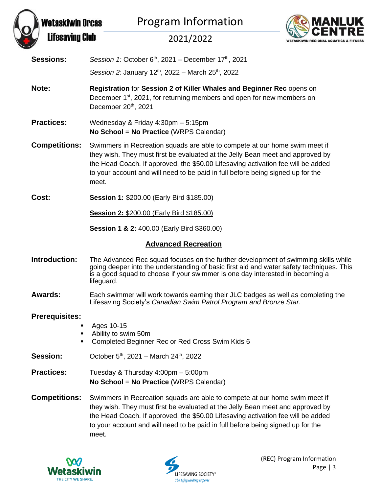



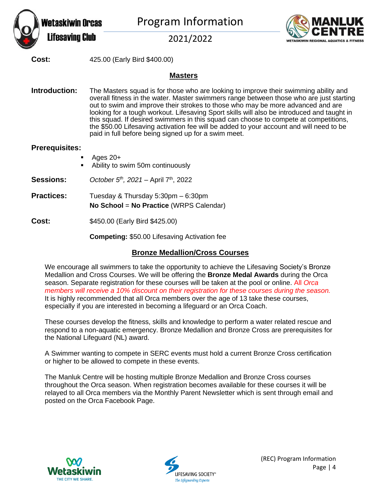

Program Information



2021/2022

**Cost:** 425.00 (Early Bird \$400.00)

#### **Masters**

**Introduction:** The Masters squad is for those who are looking to improve their swimming ability and overall fitness in the water. Master swimmers range between those who are just starting out to swim and improve their strokes to those who may be more advanced and are looking for a tough workout. Lifesaving Sport skills will also be introduced and taught in this squad. If desired swimmers in this squad can choose to compete at competitions, the \$50.00 Lifesaving activation fee will be added to your account and will need to be paid in full before being signed up for a swim meet.

#### **Prerequisites:**

- Ages  $20+$
- Ability to swim 50m continuously

**Sessions:** *October 5 th , 2021 –* April 7 th , 2022

**Practices:** Tuesday & Thursday 5:30pm – 6:30pm **No School** = **No Practice** (WRPS Calendar)

**Cost:** \$450.00 (Early Bird \$425.00)

**Competing:** \$50.00 Lifesaving Activation fee

#### **Bronze Medallion/Cross Courses**

We encourage all swimmers to take the opportunity to achieve the Lifesaving Society's Bronze Medallion and Cross Courses. We will be offering the **Bronze Medal Awards** during the Orca season. Separate registration for these courses will be taken at the pool or online. All *Orca members will receive a 10% discount on their registration for these courses during the season.*  It is highly recommended that all Orca members over the age of 13 take these courses, especially if you are interested in becoming a lifeguard or an Orca Coach.

These courses develop the fitness, skills and knowledge to perform a water related rescue and respond to a non-aquatic emergency. Bronze Medallion and Bronze Cross are prerequisites for the National Lifeguard (NL) award.

A Swimmer wanting to compete in SERC events must hold a current Bronze Cross certification or higher to be allowed to compete in these events.

The Manluk Centre will be hosting multiple Bronze Medallion and Bronze Cross courses throughout the Orca season. When registration becomes available for these courses it will be relayed to all Orca members via the Monthly Parent Newsletter which is sent through email and posted on the Orca Facebook Page.